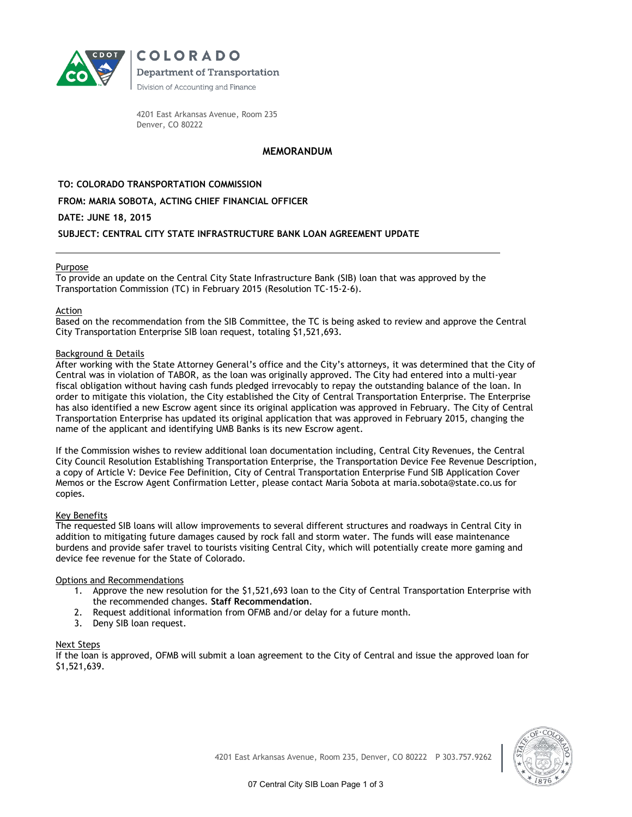

**COLORADO Department of Transportation** Division of Accounting and Finance

4201 East Arkansas Avenue, Room 235 Denver, CO 80222

# **MEMORANDUM**

**TO: COLORADO TRANSPORTATION COMMISSION**

## **FROM: MARIA SOBOTA, ACTING CHIEF FINANCIAL OFFICER**

## **DATE: JUNE 18, 2015**

## **SUBJECT: CENTRAL CITY STATE INFRASTRUCTURE BANK LOAN AGREEMENT UPDATE**

### Purpose

To provide an update on the Central City State Infrastructure Bank (SIB) loan that was approved by the Transportation Commission (TC) in February 2015 (Resolution TC-15-2-6).

#### Action

Based on the recommendation from the SIB Committee, the TC is being asked to review and approve the Central City Transportation Enterprise SIB loan request, totaling \$1,521,693.

### Background & Details

After working with the State Attorney General's office and the City's attorneys, it was determined that the City of Central was in violation of TABOR, as the loan was originally approved. The City had entered into a multi-year fiscal obligation without having cash funds pledged irrevocably to repay the outstanding balance of the loan. In order to mitigate this violation, the City established the City of Central Transportation Enterprise. The Enterprise has also identified a new Escrow agent since its original application was approved in February. The City of Central Transportation Enterprise has updated its original application that was approved in February 2015, changing the name of the applicant and identifying UMB Banks is its new Escrow agent.

If the Commission wishes to review additional loan documentation including, Central City Revenues, the Central City Council Resolution Establishing Transportation Enterprise, the Transportation Device Fee Revenue Description, a copy of Article V: Device Fee Definition, City of Central Transportation Enterprise Fund SIB Application Cover Memos or the Escrow Agent Confirmation Letter, please contact Maria Sobota at maria.sobota@state.co.us for copies.

#### Key Benefits

The requested SIB loans will allow improvements to several different structures and roadways in Central City in addition to mitigating future damages caused by rock fall and storm water. The funds will ease maintenance burdens and provide safer travel to tourists visiting Central City, which will potentially create more gaming and device fee revenue for the State of Colorado.

## Options and Recommendations

- 1. Approve the new resolution for the \$1,521,693 loan to the City of Central Transportation Enterprise with the recommended changes. **Staff Recommendation**.
- 2. Request additional information from OFMB and/or delay for a future month.
- 3. Deny SIB loan request.

#### Next Steps

If the loan is approved, OFMB will submit a loan agreement to the City of Central and issue the approved loan for \$1,521,639.

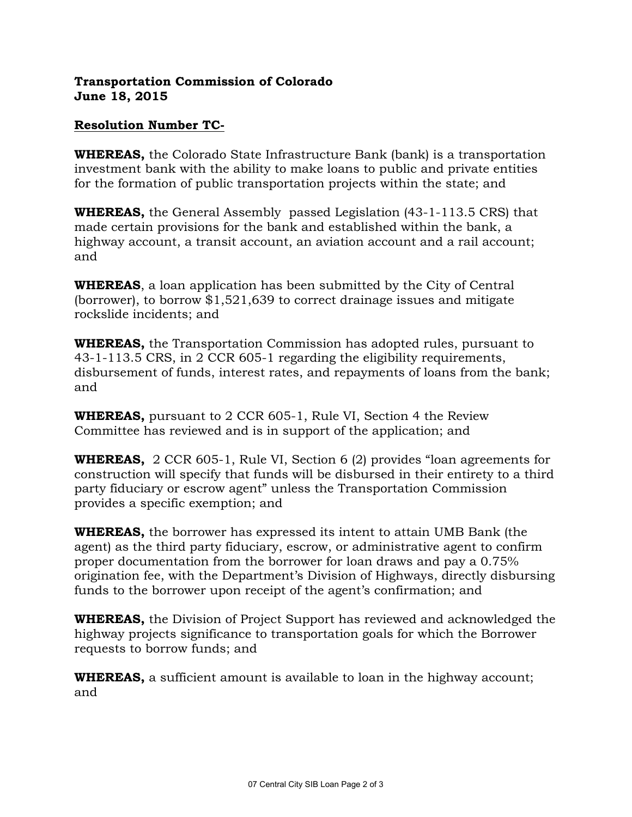# **Transportation Commission of Colorado June 18, 2015**

# **Resolution Number TC-**

**WHEREAS,** the Colorado State Infrastructure Bank (bank) is a transportation investment bank with the ability to make loans to public and private entities for the formation of public transportation projects within the state; and

**WHEREAS,** the General Assembly passed Legislation (43-1-113.5 CRS) that made certain provisions for the bank and established within the bank, a highway account, a transit account, an aviation account and a rail account; and

**WHEREAS**, a loan application has been submitted by the City of Central (borrower), to borrow \$1,521,639 to correct drainage issues and mitigate rockslide incidents; and

**WHEREAS,** the Transportation Commission has adopted rules, pursuant to 43-1-113.5 CRS, in 2 CCR 605-1 regarding the eligibility requirements, disbursement of funds, interest rates, and repayments of loans from the bank; and

**WHEREAS,** pursuant to 2 CCR 605-1, Rule VI, Section 4 the Review Committee has reviewed and is in support of the application; and

**WHEREAS,** 2 CCR 605-1, Rule VI, Section 6 (2) provides "loan agreements for construction will specify that funds will be disbursed in their entirety to a third party fiduciary or escrow agent" unless the Transportation Commission provides a specific exemption; and

**WHEREAS,** the borrower has expressed its intent to attain UMB Bank (the agent) as the third party fiduciary, escrow, or administrative agent to confirm proper documentation from the borrower for loan draws and pay a 0.75% origination fee, with the Department's Division of Highways, directly disbursing funds to the borrower upon receipt of the agent's confirmation; and

**WHEREAS,** the Division of Project Support has reviewed and acknowledged the highway projects significance to transportation goals for which the Borrower requests to borrow funds; and

**WHEREAS,** a sufficient amount is available to loan in the highway account; and